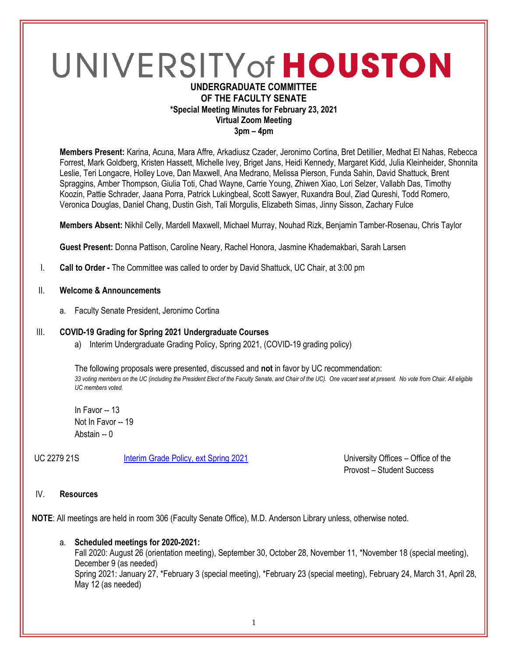# UNIVERSITY of HOUSTON

### **UNDERGRADUATE COMMITTEE OF THE FACULTY SENATE \*Special Meeting Minutes for February 23, 2021 Virtual Zoom Meeting 3pm – 4pm**

**Members Present:** Karina, Acuna, Mara Affre, Arkadiusz Czader, Jeronimo Cortina, Bret Detillier, Medhat El Nahas, Rebecca Forrest, Mark Goldberg, Kristen Hassett, Michelle Ivey, Briget Jans, Heidi Kennedy, Margaret Kidd, Julia Kleinheider, Shonnita Leslie, Teri Longacre, Holley Love, Dan Maxwell, Ana Medrano, Melissa Pierson, Funda Sahin, David Shattuck, Brent Spraggins, Amber Thompson, Giulia Toti, Chad Wayne, Carrie Young, Zhiwen Xiao, Lori Selzer, Vallabh Das, Timothy Koozin, Pattie Schrader, Jaana Porra, Patrick Lukingbeal, Scott Sawyer, Ruxandra Boul, Ziad Qureshi, Todd Romero, Veronica Douglas, Daniel Chang, Dustin Gish, Tali Morgulis, Elizabeth Simas, Jinny Sisson, Zachary Fulce

**Members Absent:** Nikhil Celly, Mardell Maxwell, Michael Murray, Nouhad Rizk, Benjamin Tamber-Rosenau, Chris Taylor

**Guest Present:** Donna Pattison, Caroline Neary, Rachel Honora, Jasmine Khademakbari, Sarah Larsen

- I. **Call to Order -** The Committee was called to order by David Shattuck, UC Chair, at 3:00 pm
- II. **Welcome & Announcements**
	- a. Faculty Senate President, Jeronimo Cortina

#### III. **COVID-19 Grading for Spring 2021 Undergraduate Courses**

a) Interim Undergraduate Grading Policy, Spring 2021, (COVID-19 grading policy)

The following proposals were presented, discussed and **not** in favor by UC recommendation: *33 voting members on the UC (including the President Elect of the Faculty Senate, and Chair of the UC). One vacant seat at present. No vote from Chair. All eligible UC members voted.* 

In Favor -- 13 Not In Favor -- 19 Abstain -- 0

UC 2279 21S [Interim Grade Policy, ext Spring 2021](https://uofh.sharepoint.com/:li:/s/uc/EyiVOx04VwZPmleO9BuVVBgBo1WKyLs_NeUjVFWEc0QsKQ?e=4Cqe1K) University Offices – Office of the

Provost – Student Success

#### IV. **Resources**

**NOTE**: All meetings are held in room 306 (Faculty Senate Office), M.D. Anderson Library unless, otherwise noted.

a. **Scheduled meetings for 2020-2021:** Fall 2020: August 26 (orientation meeting), September 30, October 28, November 11, \*November 18 (special meeting), December 9 (as needed) Spring 2021: January 27, \*February 3 (special meeting), \*February 23 (special meeting), February 24, March 31, April 28, May 12 (as needed)